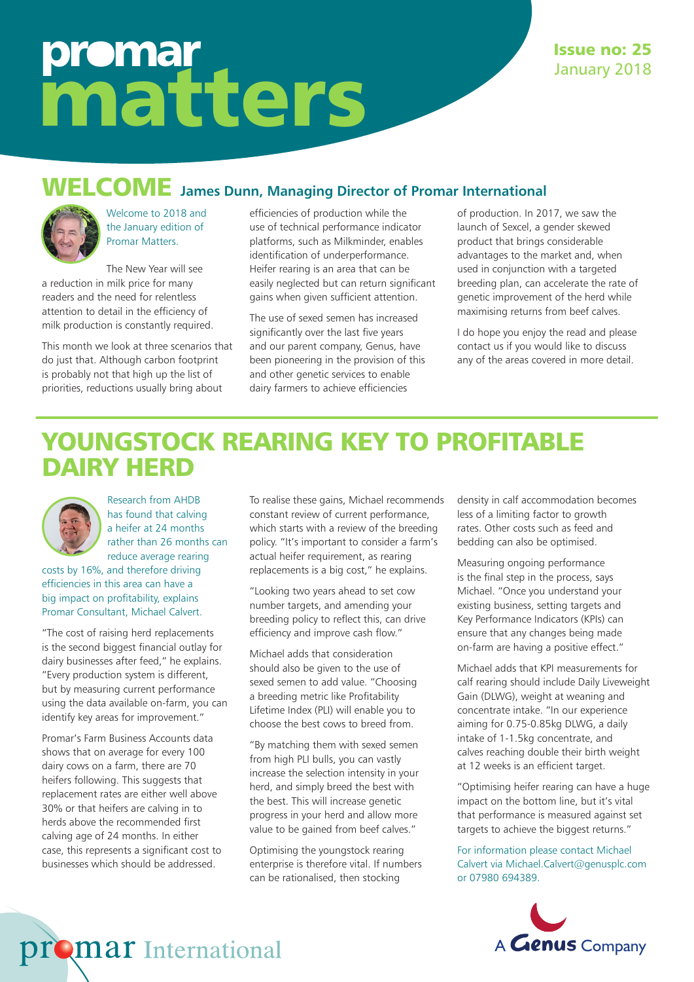# promar matters

### WELCOME **James Dunn, Managing Director of Promar International**



Welcome to 2018 and the January edition of Promar Matters.

The New Year will see a reduction in milk price for many readers and the need for relentless attention to detail in the efficiency of milk production is constantly required.

This month we look at three scenarios that do just that. Although carbon footprint is probably not that high up the list of priorities, reductions usually bring about

efficiencies of production while the use of technical performance indicator platforms, such as Milkminder, enables identification of underperformance. Heifer rearing is an area that can be easily neglected but can return significant gains when given sufficient attention.

The use of sexed semen has increased significantly over the last five years and our parent company, Genus, have been pioneering in the provision of this and other genetic services to enable dairy farmers to achieve efficiencies

of production. In 2017, we saw the launch of Sexcel, a gender skewed product that brings considerable advantages to the market and, when used in conjunction with a targeted breeding plan, can accelerate the rate of genetic improvement of the herd while maximising returns from beef calves.

I do hope you enjoy the read and please contact us if you would like to discuss any of the areas covered in more detail.

## YOUNGSTOCK REARING KEY TO PROFITABLE DAIRY HERD



Research from AHDB has found that calving a heifer at 24 months rather than 26 months can reduce average rearing

costs by 16%, and therefore driving efficiencies in this area can have a big impact on profitability, explains Promar Consultant, Michael Calvert.

"The cost of raising herd replacements is the second biggest financial outlay for dairy businesses after feed," he explains. "Every production system is different, but by measuring current performance using the data available on-farm, you can identify key areas for improvement."

Promar's Farm Business Accounts data shows that on average for every 100 dairy cows on a farm, there are 70 heifers following. This suggests that replacement rates are either well above 30% or that heifers are calving in to herds above the recommended first calving age of 24 months. In either case, this represents a significant cost to businesses which should be addressed.

**Mar** International

To realise these gains, Michael recommends constant review of current performance, which starts with a review of the breeding policy. "It's important to consider a farm's actual heifer requirement, as rearing replacements is a big cost," he explains.

"Looking two years ahead to set cow number targets, and amending your breeding policy to reflect this, can drive efficiency and improve cash flow."

Michael adds that consideration should also be given to the use of sexed semen to add value. "Choosing a breeding metric like Profitability Lifetime Index (PLI) will enable you to choose the best cows to breed from.

"By matching them with sexed semen from high PLI bulls, you can vastly increase the selection intensity in your herd, and simply breed the best with the best. This will increase genetic progress in your herd and allow more value to be gained from beef calves."

Optimising the youngstock rearing enterprise is therefore vital. If numbers can be rationalised, then stocking

density in calf accommodation becomes less of a limiting factor to growth rates. Other costs such as feed and bedding can also be optimised.

Measuring ongoing performance is the final step in the process, says Michael. "Once you understand your existing business, setting targets and Key Performance Indicators (KPIs) can ensure that any changes being made on-farm are having a positive effect."

Michael adds that KPI measurements for calf rearing should include Daily Liveweight Gain (DLWG), weight at weaning and concentrate intake. "In our experience aiming for 0.75-0.85kg DLWG, a daily intake of 1-1.5kg concentrate, and calves reaching double their birth weight at 12 weeks is an efficient target.

"Optimising heifer rearing can have a huge impact on the bottom line, but it's vital that performance is measured against set targets to achieve the biggest returns."

For information please contact Michael Calvert via Michael.Calvert@genusplc.com or 07980 694389.